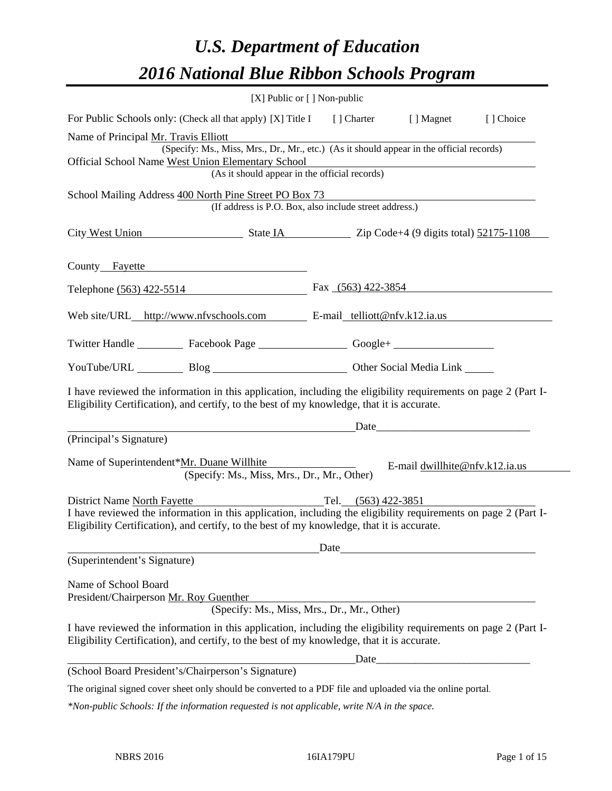# *U.S. Department of Education 2016 National Blue Ribbon Schools Program*

|                                                                                                                                                                                                                                             | $[X]$ Public or $[ ]$ Non-public |                                                                                                                                                                                                                               |           |
|---------------------------------------------------------------------------------------------------------------------------------------------------------------------------------------------------------------------------------------------|----------------------------------|-------------------------------------------------------------------------------------------------------------------------------------------------------------------------------------------------------------------------------|-----------|
| For Public Schools only: (Check all that apply) [X] Title I [] Charter [] Magnet                                                                                                                                                            |                                  |                                                                                                                                                                                                                               | [] Choice |
| Name of Principal Mr. Travis Elliott                                                                                                                                                                                                        |                                  |                                                                                                                                                                                                                               |           |
| (Specify: Ms., Miss, Mrs., Dr., Mr., etc.) (As it should appear in the official records)                                                                                                                                                    |                                  |                                                                                                                                                                                                                               |           |
| Official School Name West Union Elementary School<br>(As it should appear in the official records)                                                                                                                                          |                                  |                                                                                                                                                                                                                               |           |
|                                                                                                                                                                                                                                             |                                  |                                                                                                                                                                                                                               |           |
| School Mailing Address 400 North Pine Street PO Box 73<br>(If address is P.O. Box, also include street address.)                                                                                                                            |                                  |                                                                                                                                                                                                                               |           |
| City West Union State IA State IA Zip Code+4 (9 digits total) 52175-1108                                                                                                                                                                    |                                  |                                                                                                                                                                                                                               |           |
| County Fayette                                                                                                                                                                                                                              |                                  |                                                                                                                                                                                                                               |           |
| Telephone (563) 422-5514                                                                                                                                                                                                                    | Fax (563) 422-3854               |                                                                                                                                                                                                                               |           |
| Web site/URL_http://www.nfvschools.com E-mail_telliott@nfv.k12.ia.us                                                                                                                                                                        |                                  |                                                                                                                                                                                                                               |           |
| Twitter Handle ____________ Facebook Page ____________________ Google+ _____________________________                                                                                                                                        |                                  |                                                                                                                                                                                                                               |           |
| YouTube/URL Blog Blog Cher Social Media Link                                                                                                                                                                                                |                                  |                                                                                                                                                                                                                               |           |
| I have reviewed the information in this application, including the eligibility requirements on page 2 (Part I-<br>Eligibility Certification), and certify, to the best of my knowledge, that it is accurate.                                |                                  |                                                                                                                                                                                                                               |           |
|                                                                                                                                                                                                                                             |                                  | Date and the same state of the same state of the same state of the same state of the same state of the same state of the same state of the same state of the same state of the same state of the same state of the same state |           |
| (Principal's Signature)                                                                                                                                                                                                                     |                                  |                                                                                                                                                                                                                               |           |
| Name of Superintendent*Mr. Duane Willhite<br>(Specify: Ms., Miss, Mrs., Dr., Mr., Other)                                                                                                                                                    |                                  | E-mail dwillhite@nfv.k12.ia.us                                                                                                                                                                                                |           |
| District Name North Fayette<br>I have reviewed the information in this application, including the eligibility requirements on page 2 (Part I-<br>Eligibility Certification), and certify, to the best of my knowledge, that it is accurate. | Tel. $(563)$ 422-3851            |                                                                                                                                                                                                                               |           |
| (Superintendent's Signature)                                                                                                                                                                                                                |                                  |                                                                                                                                                                                                                               |           |
|                                                                                                                                                                                                                                             |                                  |                                                                                                                                                                                                                               |           |
| Name of School Board                                                                                                                                                                                                                        |                                  |                                                                                                                                                                                                                               |           |
| President/Chairperson Mr. Roy Guenther                                                                                                                                                                                                      |                                  |                                                                                                                                                                                                                               |           |
| (Specify: Ms., Miss, Mrs., Dr., Mr., Other)                                                                                                                                                                                                 |                                  |                                                                                                                                                                                                                               |           |
| I have reviewed the information in this application, including the eligibility requirements on page 2 (Part I-<br>Eligibility Certification), and certify, to the best of my knowledge, that it is accurate.                                |                                  |                                                                                                                                                                                                                               |           |
|                                                                                                                                                                                                                                             |                                  |                                                                                                                                                                                                                               |           |
| (School Board President's/Chairperson's Signature)                                                                                                                                                                                          |                                  |                                                                                                                                                                                                                               |           |
| The original signed cover sheet only should be converted to a PDF file and uploaded via the online portal.                                                                                                                                  |                                  |                                                                                                                                                                                                                               |           |

*\*Non-public Schools: If the information requested is not applicable, write N/A in the space.*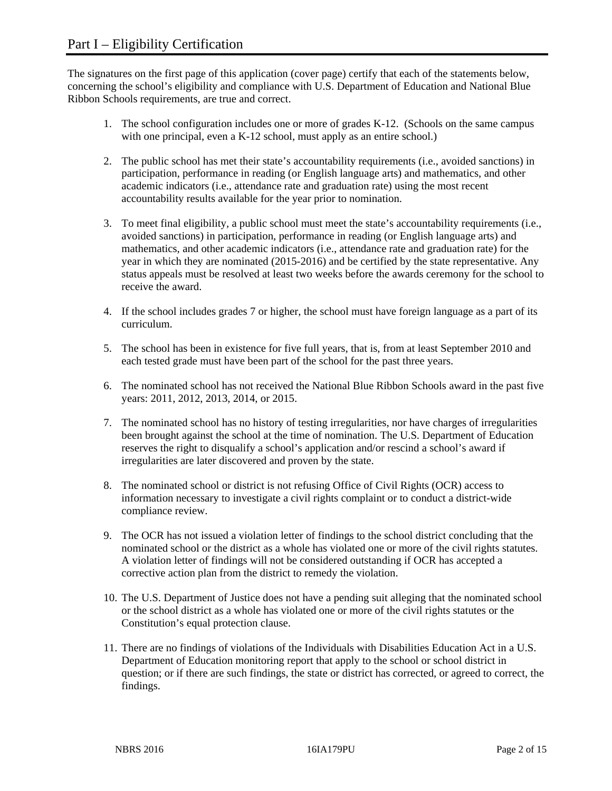The signatures on the first page of this application (cover page) certify that each of the statements below, concerning the school's eligibility and compliance with U.S. Department of Education and National Blue Ribbon Schools requirements, are true and correct.

- 1. The school configuration includes one or more of grades K-12. (Schools on the same campus with one principal, even a K-12 school, must apply as an entire school.)
- 2. The public school has met their state's accountability requirements (i.e., avoided sanctions) in participation, performance in reading (or English language arts) and mathematics, and other academic indicators (i.e., attendance rate and graduation rate) using the most recent accountability results available for the year prior to nomination.
- 3. To meet final eligibility, a public school must meet the state's accountability requirements (i.e., avoided sanctions) in participation, performance in reading (or English language arts) and mathematics, and other academic indicators (i.e., attendance rate and graduation rate) for the year in which they are nominated (2015-2016) and be certified by the state representative. Any status appeals must be resolved at least two weeks before the awards ceremony for the school to receive the award.
- 4. If the school includes grades 7 or higher, the school must have foreign language as a part of its curriculum.
- 5. The school has been in existence for five full years, that is, from at least September 2010 and each tested grade must have been part of the school for the past three years.
- 6. The nominated school has not received the National Blue Ribbon Schools award in the past five years: 2011, 2012, 2013, 2014, or 2015.
- 7. The nominated school has no history of testing irregularities, nor have charges of irregularities been brought against the school at the time of nomination. The U.S. Department of Education reserves the right to disqualify a school's application and/or rescind a school's award if irregularities are later discovered and proven by the state.
- 8. The nominated school or district is not refusing Office of Civil Rights (OCR) access to information necessary to investigate a civil rights complaint or to conduct a district-wide compliance review.
- 9. The OCR has not issued a violation letter of findings to the school district concluding that the nominated school or the district as a whole has violated one or more of the civil rights statutes. A violation letter of findings will not be considered outstanding if OCR has accepted a corrective action plan from the district to remedy the violation.
- 10. The U.S. Department of Justice does not have a pending suit alleging that the nominated school or the school district as a whole has violated one or more of the civil rights statutes or the Constitution's equal protection clause.
- 11. There are no findings of violations of the Individuals with Disabilities Education Act in a U.S. Department of Education monitoring report that apply to the school or school district in question; or if there are such findings, the state or district has corrected, or agreed to correct, the findings.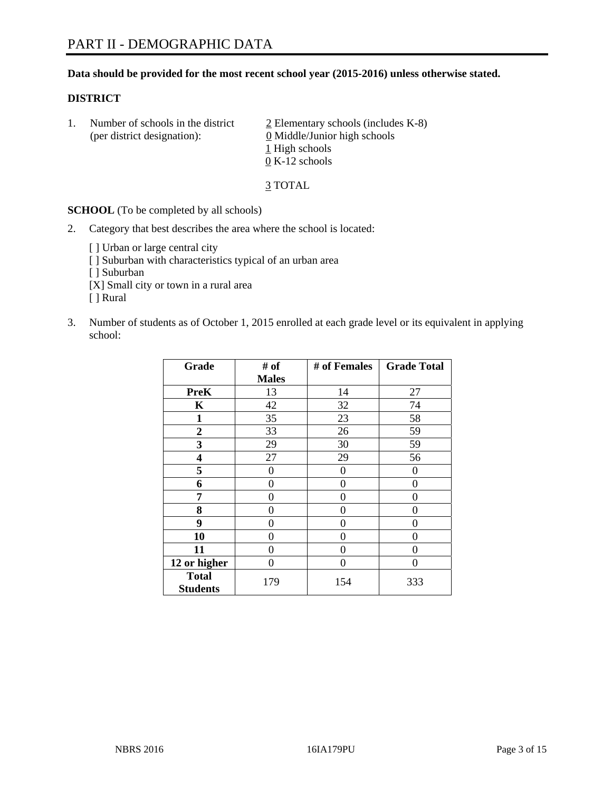#### **Data should be provided for the most recent school year (2015-2016) unless otherwise stated.**

#### **DISTRICT**

1. Number of schools in the district  $\frac{2}{2}$  Elementary schools (includes K-8) (per district designation): 0 Middle/Junior high schools 1 High schools 0 K-12 schools

3 TOTAL

**SCHOOL** (To be completed by all schools)

- 2. Category that best describes the area where the school is located:
	- [] Urban or large central city [ ] Suburban with characteristics typical of an urban area [ ] Suburban [X] Small city or town in a rural area [ ] Rural
- 3. Number of students as of October 1, 2015 enrolled at each grade level or its equivalent in applying school:

| Grade                           | # of         | # of Females | <b>Grade Total</b> |
|---------------------------------|--------------|--------------|--------------------|
|                                 | <b>Males</b> |              |                    |
| <b>PreK</b>                     | 13           | 14           | 27                 |
| $\mathbf K$                     | 42           | 32           | 74                 |
| 1                               | 35           | 23           | 58                 |
| $\overline{2}$                  | 33           | 26           | 59                 |
| 3                               | 29           | 30           | 59                 |
| 4                               | 27           | 29           | 56                 |
| 5                               | $\theta$     | 0            | $\Omega$           |
| 6                               | 0            | $\theta$     | 0                  |
| 7                               | 0            | $\theta$     | 0                  |
| 8                               | 0            | $\theta$     | 0                  |
| 9                               | 0            | 0            | 0                  |
| 10                              | 0            | 0            | 0                  |
| 11                              | 0            | 0            | 0                  |
| 12 or higher                    | 0            | 0            | 0                  |
| <b>Total</b><br><b>Students</b> | 179          | 154          | 333                |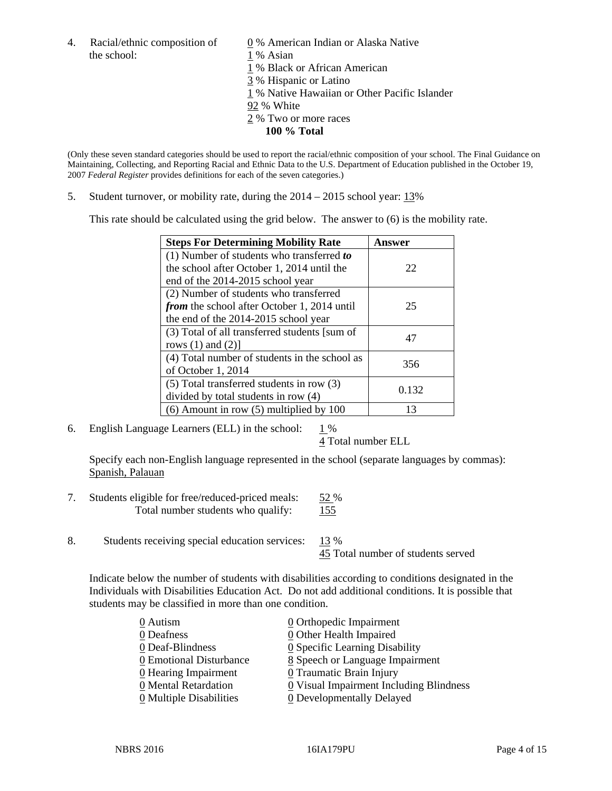- 4. Racial/ethnic composition of  $\qquad 0\%$  American Indian or Alaska Native the school: 1 % Asian
	-
	-
	- 1 % Black or African American
	- 3 % Hispanic or Latino
	- 1 % Native Hawaiian or Other Pacific Islander
	- 92 % White
	- 2 % Two or more races
		- **100 % Total**

(Only these seven standard categories should be used to report the racial/ethnic composition of your school. The Final Guidance on Maintaining, Collecting, and Reporting Racial and Ethnic Data to the U.S. Department of Education published in the October 19, 2007 *Federal Register* provides definitions for each of the seven categories.)

5. Student turnover, or mobility rate, during the 2014 – 2015 school year: 13%

This rate should be calculated using the grid below. The answer to (6) is the mobility rate.

| <b>Steps For Determining Mobility Rate</b>         | Answer |  |
|----------------------------------------------------|--------|--|
| (1) Number of students who transferred to          |        |  |
| the school after October 1, 2014 until the         | 22     |  |
| end of the 2014-2015 school year                   |        |  |
| (2) Number of students who transferred             |        |  |
| <i>from</i> the school after October 1, 2014 until | 25     |  |
| the end of the 2014-2015 school year               |        |  |
| (3) Total of all transferred students [sum of      | 47     |  |
| rows $(1)$ and $(2)$ ]                             |        |  |
| (4) Total number of students in the school as      | 356    |  |
| of October 1, 2014                                 |        |  |
| (5) Total transferred students in row (3)          | 0.132  |  |
| divided by total students in row (4)               |        |  |
| $(6)$ Amount in row $(5)$ multiplied by 100        | 13     |  |

6. English Language Learners (ELL) in the school:  $1\%$ 

4 Total number ELL

 Specify each non-English language represented in the school (separate languages by commas): Spanish, Palauan

- 7. Students eligible for free/reduced-priced meals: 52 % Total number students who qualify: 155
- 8. Students receiving special education services: 13 %

45 Total number of students served

Indicate below the number of students with disabilities according to conditions designated in the Individuals with Disabilities Education Act. Do not add additional conditions. It is possible that students may be classified in more than one condition.

| 0 Autism                | $\underline{0}$ Orthopedic Impairment     |
|-------------------------|-------------------------------------------|
| 0 Deafness              | 0 Other Health Impaired                   |
| 0 Deaf-Blindness        | 0 Specific Learning Disability            |
| 0 Emotional Disturbance | 8 Speech or Language Impairment           |
| 0 Hearing Impairment    | 0 Traumatic Brain Injury                  |
| 0 Mental Retardation    | $Q$ Visual Impairment Including Blindness |
| 0 Multiple Disabilities | 0 Developmentally Delayed                 |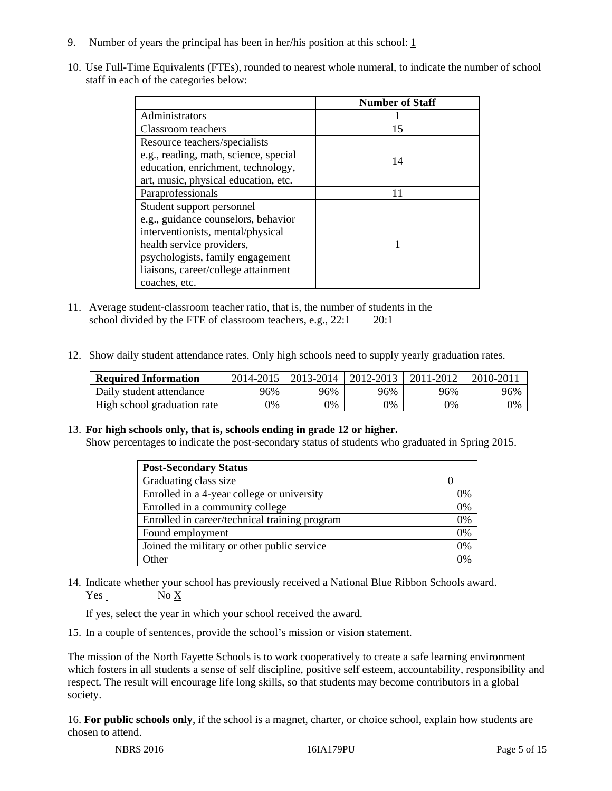- 9. Number of years the principal has been in her/his position at this school:  $1$
- 10. Use Full-Time Equivalents (FTEs), rounded to nearest whole numeral, to indicate the number of school staff in each of the categories below:

|                                       | <b>Number of Staff</b> |
|---------------------------------------|------------------------|
| Administrators                        |                        |
| Classroom teachers                    | 15                     |
| Resource teachers/specialists         |                        |
| e.g., reading, math, science, special | 14                     |
| education, enrichment, technology,    |                        |
| art, music, physical education, etc.  |                        |
| Paraprofessionals                     | 11                     |
| Student support personnel             |                        |
| e.g., guidance counselors, behavior   |                        |
| interventionists, mental/physical     |                        |
| health service providers,             |                        |
| psychologists, family engagement      |                        |
| liaisons, career/college attainment   |                        |
| coaches, etc.                         |                        |

- 11. Average student-classroom teacher ratio, that is, the number of students in the school divided by the FTE of classroom teachers, e.g., 22:1 20:1
- 12. Show daily student attendance rates. Only high schools need to supply yearly graduation rates.

| <b>Required Information</b> | 2014-2015 | 2013-2014 | 2012-2013 | 2011-2012 | $2010 - 201$ |
|-----------------------------|-----------|-----------|-----------|-----------|--------------|
| Daily student attendance    | 96%       | 96%       | 96%       | 96%       | 96%          |
| High school graduation rate | 9%        | 0%        | 0%        | 9%        | 0%           |

#### 13. **For high schools only, that is, schools ending in grade 12 or higher.**

Show percentages to indicate the post-secondary status of students who graduated in Spring 2015.

| <b>Post-Secondary Status</b>                  |    |
|-----------------------------------------------|----|
| Graduating class size                         |    |
| Enrolled in a 4-year college or university    | 0% |
| Enrolled in a community college               | 0% |
| Enrolled in career/technical training program | 0% |
| Found employment                              | 0% |
| Joined the military or other public service   | 0% |
| <b>Other</b>                                  | ገ% |

14. Indicate whether your school has previously received a National Blue Ribbon Schools award. Yes No X

If yes, select the year in which your school received the award.

15. In a couple of sentences, provide the school's mission or vision statement.

The mission of the North Fayette Schools is to work cooperatively to create a safe learning environment which fosters in all students a sense of self discipline, positive self esteem, accountability, responsibility and respect. The result will encourage life long skills, so that students may become contributors in a global society.

16. **For public schools only**, if the school is a magnet, charter, or choice school, explain how students are chosen to attend.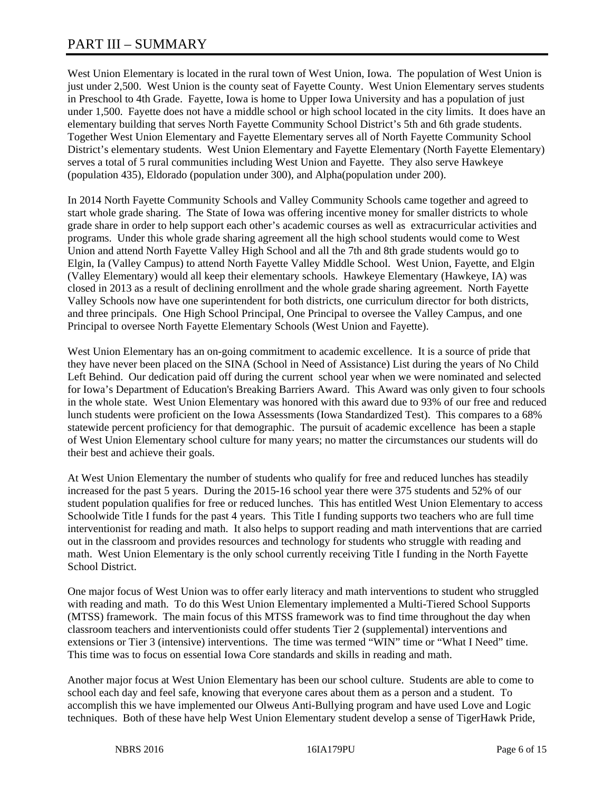## PART III – SUMMARY

West Union Elementary is located in the rural town of West Union, Iowa. The population of West Union is just under 2,500. West Union is the county seat of Fayette County. West Union Elementary serves students in Preschool to 4th Grade. Fayette, Iowa is home to Upper Iowa University and has a population of just under 1,500. Fayette does not have a middle school or high school located in the city limits. It does have an elementary building that serves North Fayette Community School District's 5th and 6th grade students. Together West Union Elementary and Fayette Elementary serves all of North Fayette Community School District's elementary students. West Union Elementary and Fayette Elementary (North Fayette Elementary) serves a total of 5 rural communities including West Union and Fayette. They also serve Hawkeye (population 435), Eldorado (population under 300), and Alpha(population under 200).

In 2014 North Fayette Community Schools and Valley Community Schools came together and agreed to start whole grade sharing. The State of Iowa was offering incentive money for smaller districts to whole grade share in order to help support each other's academic courses as well as extracurricular activities and programs. Under this whole grade sharing agreement all the high school students would come to West Union and attend North Fayette Valley High School and all the 7th and 8th grade students would go to Elgin, Ia (Valley Campus) to attend North Fayette Valley Middle School. West Union, Fayette, and Elgin (Valley Elementary) would all keep their elementary schools. Hawkeye Elementary (Hawkeye, IA) was closed in 2013 as a result of declining enrollment and the whole grade sharing agreement. North Fayette Valley Schools now have one superintendent for both districts, one curriculum director for both districts, and three principals. One High School Principal, One Principal to oversee the Valley Campus, and one Principal to oversee North Fayette Elementary Schools (West Union and Fayette).

West Union Elementary has an on-going commitment to academic excellence. It is a source of pride that they have never been placed on the SINA (School in Need of Assistance) List during the years of No Child Left Behind. Our dedication paid off during the current school year when we were nominated and selected for Iowa's Department of Education's Breaking Barriers Award. This Award was only given to four schools in the whole state. West Union Elementary was honored with this award due to 93% of our free and reduced lunch students were proficient on the Iowa Assessments (Iowa Standardized Test). This compares to a 68% statewide percent proficiency for that demographic. The pursuit of academic excellence has been a staple of West Union Elementary school culture for many years; no matter the circumstances our students will do their best and achieve their goals.

At West Union Elementary the number of students who qualify for free and reduced lunches has steadily increased for the past 5 years. During the 2015-16 school year there were 375 students and 52% of our student population qualifies for free or reduced lunches. This has entitled West Union Elementary to access Schoolwide Title I funds for the past 4 years. This Title I funding supports two teachers who are full time interventionist for reading and math. It also helps to support reading and math interventions that are carried out in the classroom and provides resources and technology for students who struggle with reading and math. West Union Elementary is the only school currently receiving Title I funding in the North Fayette School District.

One major focus of West Union was to offer early literacy and math interventions to student who struggled with reading and math. To do this West Union Elementary implemented a Multi-Tiered School Supports (MTSS) framework. The main focus of this MTSS framework was to find time throughout the day when classroom teachers and interventionists could offer students Tier 2 (supplemental) interventions and extensions or Tier 3 (intensive) interventions. The time was termed "WIN" time or "What I Need" time. This time was to focus on essential Iowa Core standards and skills in reading and math.

Another major focus at West Union Elementary has been our school culture. Students are able to come to school each day and feel safe, knowing that everyone cares about them as a person and a student. To accomplish this we have implemented our Olweus Anti-Bullying program and have used Love and Logic techniques. Both of these have help West Union Elementary student develop a sense of TigerHawk Pride,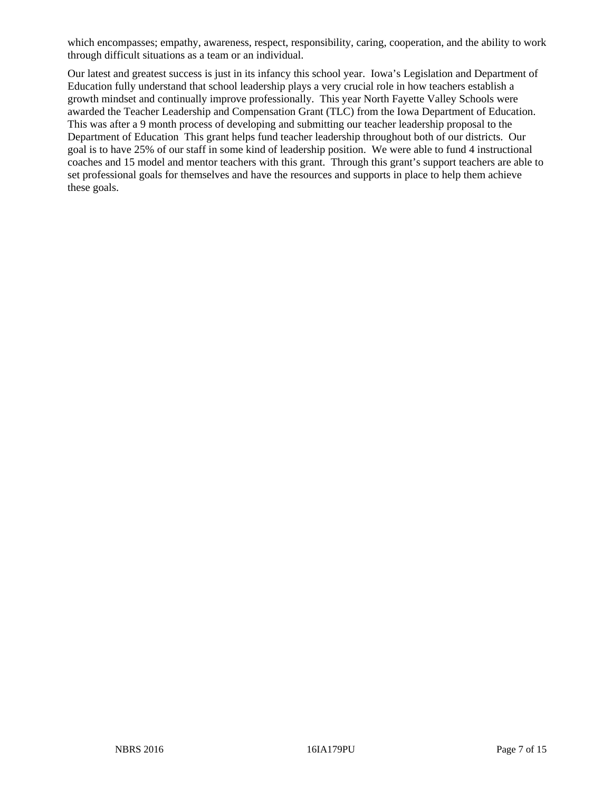which encompasses; empathy, awareness, respect, responsibility, caring, cooperation, and the ability to work through difficult situations as a team or an individual.

Our latest and greatest success is just in its infancy this school year. Iowa's Legislation and Department of Education fully understand that school leadership plays a very crucial role in how teachers establish a growth mindset and continually improve professionally. This year North Fayette Valley Schools were awarded the Teacher Leadership and Compensation Grant (TLC) from the Iowa Department of Education. This was after a 9 month process of developing and submitting our teacher leadership proposal to the Department of Education This grant helps fund teacher leadership throughout both of our districts. Our goal is to have 25% of our staff in some kind of leadership position. We were able to fund 4 instructional coaches and 15 model and mentor teachers with this grant. Through this grant's support teachers are able to set professional goals for themselves and have the resources and supports in place to help them achieve these goals.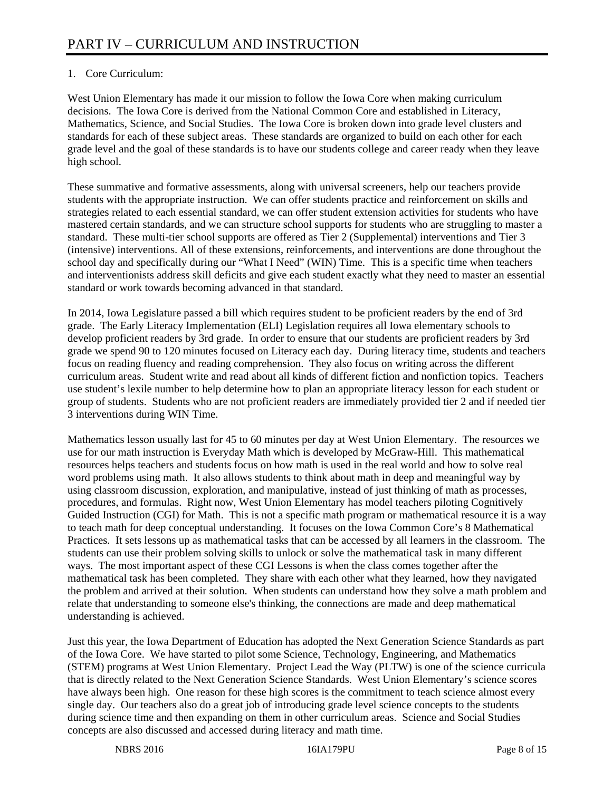### 1. Core Curriculum:

West Union Elementary has made it our mission to follow the Iowa Core when making curriculum decisions. The Iowa Core is derived from the National Common Core and established in Literacy, Mathematics, Science, and Social Studies. The Iowa Core is broken down into grade level clusters and standards for each of these subject areas. These standards are organized to build on each other for each grade level and the goal of these standards is to have our students college and career ready when they leave high school.

These summative and formative assessments, along with universal screeners, help our teachers provide students with the appropriate instruction. We can offer students practice and reinforcement on skills and strategies related to each essential standard, we can offer student extension activities for students who have mastered certain standards, and we can structure school supports for students who are struggling to master a standard. These multi-tier school supports are offered as Tier 2 (Supplemental) interventions and Tier 3 (intensive) interventions. All of these extensions, reinforcements, and interventions are done throughout the school day and specifically during our "What I Need" (WIN) Time. This is a specific time when teachers and interventionists address skill deficits and give each student exactly what they need to master an essential standard or work towards becoming advanced in that standard.

In 2014, Iowa Legislature passed a bill which requires student to be proficient readers by the end of 3rd grade. The Early Literacy Implementation (ELI) Legislation requires all Iowa elementary schools to develop proficient readers by 3rd grade. In order to ensure that our students are proficient readers by 3rd grade we spend 90 to 120 minutes focused on Literacy each day. During literacy time, students and teachers focus on reading fluency and reading comprehension. They also focus on writing across the different curriculum areas. Student write and read about all kinds of different fiction and nonfiction topics. Teachers use student's lexile number to help determine how to plan an appropriate literacy lesson for each student or group of students. Students who are not proficient readers are immediately provided tier 2 and if needed tier 3 interventions during WIN Time.

Mathematics lesson usually last for 45 to 60 minutes per day at West Union Elementary. The resources we use for our math instruction is Everyday Math which is developed by McGraw-Hill. This mathematical resources helps teachers and students focus on how math is used in the real world and how to solve real word problems using math. It also allows students to think about math in deep and meaningful way by using classroom discussion, exploration, and manipulative, instead of just thinking of math as processes, procedures, and formulas. Right now, West Union Elementary has model teachers piloting Cognitively Guided Instruction (CGI) for Math. This is not a specific math program or mathematical resource it is a way to teach math for deep conceptual understanding. It focuses on the Iowa Common Core's 8 Mathematical Practices. It sets lessons up as mathematical tasks that can be accessed by all learners in the classroom. The students can use their problem solving skills to unlock or solve the mathematical task in many different ways. The most important aspect of these CGI Lessons is when the class comes together after the mathematical task has been completed. They share with each other what they learned, how they navigated the problem and arrived at their solution. When students can understand how they solve a math problem and relate that understanding to someone else's thinking, the connections are made and deep mathematical understanding is achieved.

Just this year, the Iowa Department of Education has adopted the Next Generation Science Standards as part of the Iowa Core. We have started to pilot some Science, Technology, Engineering, and Mathematics (STEM) programs at West Union Elementary. Project Lead the Way (PLTW) is one of the science curricula that is directly related to the Next Generation Science Standards. West Union Elementary's science scores have always been high. One reason for these high scores is the commitment to teach science almost every single day. Our teachers also do a great job of introducing grade level science concepts to the students during science time and then expanding on them in other curriculum areas. Science and Social Studies concepts are also discussed and accessed during literacy and math time.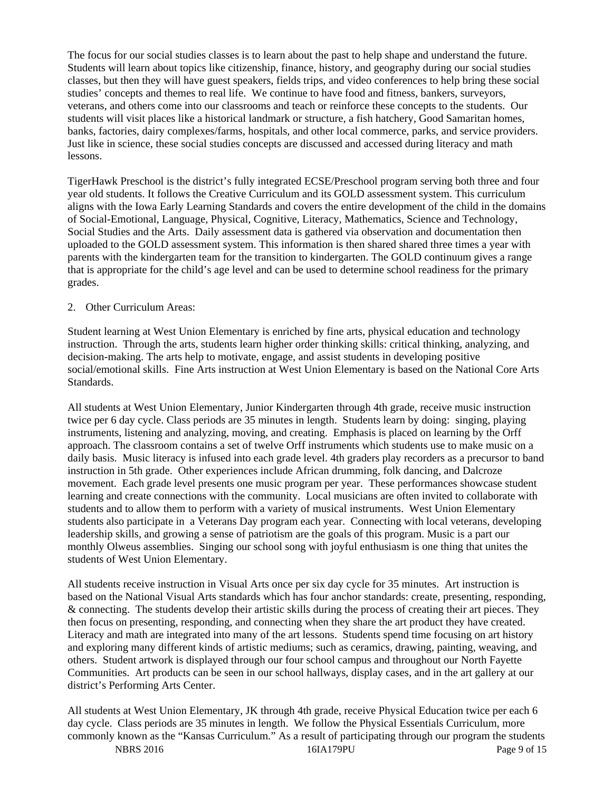The focus for our social studies classes is to learn about the past to help shape and understand the future. Students will learn about topics like citizenship, finance, history, and geography during our social studies classes, but then they will have guest speakers, fields trips, and video conferences to help bring these social studies' concepts and themes to real life. We continue to have food and fitness, bankers, surveyors, veterans, and others come into our classrooms and teach or reinforce these concepts to the students. Our students will visit places like a historical landmark or structure, a fish hatchery, Good Samaritan homes, banks, factories, dairy complexes/farms, hospitals, and other local commerce, parks, and service providers. Just like in science, these social studies concepts are discussed and accessed during literacy and math lessons.

TigerHawk Preschool is the district's fully integrated ECSE/Preschool program serving both three and four year old students. It follows the Creative Curriculum and its GOLD assessment system. This curriculum aligns with the Iowa Early Learning Standards and covers the entire development of the child in the domains of Social-Emotional, Language, Physical, Cognitive, Literacy, Mathematics, Science and Technology, Social Studies and the Arts. Daily assessment data is gathered via observation and documentation then uploaded to the GOLD assessment system. This information is then shared shared three times a year with parents with the kindergarten team for the transition to kindergarten. The GOLD continuum gives a range that is appropriate for the child's age level and can be used to determine school readiness for the primary grades.

#### 2. Other Curriculum Areas:

Student learning at West Union Elementary is enriched by fine arts, physical education and technology instruction. Through the arts, students learn higher order thinking skills: critical thinking, analyzing, and decision-making. The arts help to motivate, engage, and assist students in developing positive social/emotional skills. Fine Arts instruction at West Union Elementary is based on the National Core Arts Standards.

All students at West Union Elementary, Junior Kindergarten through 4th grade, receive music instruction twice per 6 day cycle. Class periods are 35 minutes in length. Students learn by doing: singing, playing instruments, listening and analyzing, moving, and creating. Emphasis is placed on learning by the Orff approach. The classroom contains a set of twelve Orff instruments which students use to make music on a daily basis. Music literacy is infused into each grade level. 4th graders play recorders as a precursor to band instruction in 5th grade. Other experiences include African drumming, folk dancing, and Dalcroze movement. Each grade level presents one music program per year. These performances showcase student learning and create connections with the community. Local musicians are often invited to collaborate with students and to allow them to perform with a variety of musical instruments. West Union Elementary students also participate in a Veterans Day program each year. Connecting with local veterans, developing leadership skills, and growing a sense of patriotism are the goals of this program. Music is a part our monthly Olweus assemblies. Singing our school song with joyful enthusiasm is one thing that unites the students of West Union Elementary.

All students receive instruction in Visual Arts once per six day cycle for 35 minutes. Art instruction is based on the National Visual Arts standards which has four anchor standards: create, presenting, responding, & connecting. The students develop their artistic skills during the process of creating their art pieces. They then focus on presenting, responding, and connecting when they share the art product they have created. Literacy and math are integrated into many of the art lessons. Students spend time focusing on art history and exploring many different kinds of artistic mediums; such as ceramics, drawing, painting, weaving, and others. Student artwork is displayed through our four school campus and throughout our North Fayette Communities. Art products can be seen in our school hallways, display cases, and in the art gallery at our district's Performing Arts Center.

NBRS 2016 16IA179PU Page 9 of 15 All students at West Union Elementary, JK through 4th grade, receive Physical Education twice per each 6 day cycle. Class periods are 35 minutes in length. We follow the Physical Essentials Curriculum, more commonly known as the "Kansas Curriculum." As a result of participating through our program the students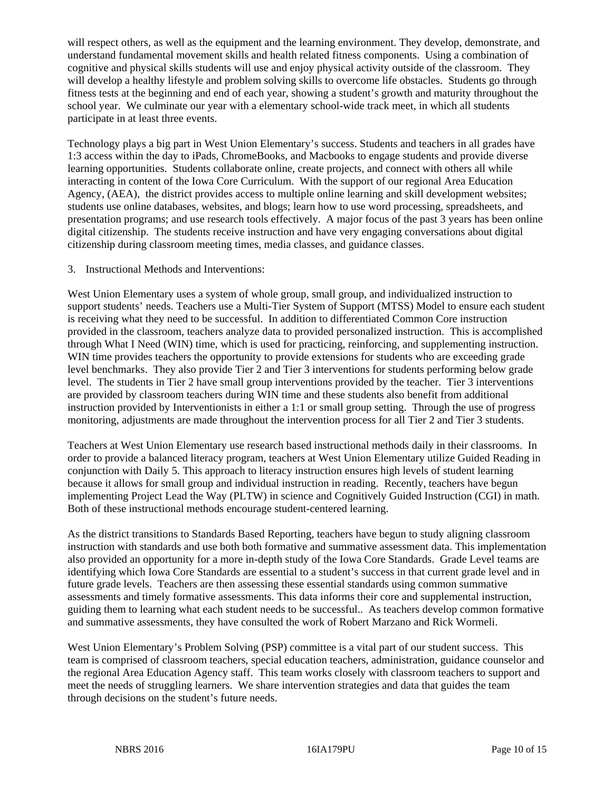will respect others, as well as the equipment and the learning environment. They develop, demonstrate, and understand fundamental movement skills and health related fitness components. Using a combination of cognitive and physical skills students will use and enjoy physical activity outside of the classroom. They will develop a healthy lifestyle and problem solving skills to overcome life obstacles. Students go through fitness tests at the beginning and end of each year, showing a student's growth and maturity throughout the school year. We culminate our year with a elementary school-wide track meet, in which all students participate in at least three events.

Technology plays a big part in West Union Elementary's success. Students and teachers in all grades have 1:3 access within the day to iPads, ChromeBooks, and Macbooks to engage students and provide diverse learning opportunities. Students collaborate online, create projects, and connect with others all while interacting in content of the Iowa Core Curriculum. With the support of our regional Area Education Agency, (AEA), the district provides access to multiple online learning and skill development websites; students use online databases, websites, and blogs; learn how to use word processing, spreadsheets, and presentation programs; and use research tools effectively. A major focus of the past 3 years has been online digital citizenship. The students receive instruction and have very engaging conversations about digital citizenship during classroom meeting times, media classes, and guidance classes.

#### 3. Instructional Methods and Interventions:

West Union Elementary uses a system of whole group, small group, and individualized instruction to support students' needs. Teachers use a Multi-Tier System of Support (MTSS) Model to ensure each student is receiving what they need to be successful. In addition to differentiated Common Core instruction provided in the classroom, teachers analyze data to provided personalized instruction. This is accomplished through What I Need (WIN) time, which is used for practicing, reinforcing, and supplementing instruction. WIN time provides teachers the opportunity to provide extensions for students who are exceeding grade level benchmarks. They also provide Tier 2 and Tier 3 interventions for students performing below grade level. The students in Tier 2 have small group interventions provided by the teacher. Tier 3 interventions are provided by classroom teachers during WIN time and these students also benefit from additional instruction provided by Interventionists in either a 1:1 or small group setting. Through the use of progress monitoring, adjustments are made throughout the intervention process for all Tier 2 and Tier 3 students.

Teachers at West Union Elementary use research based instructional methods daily in their classrooms. In order to provide a balanced literacy program, teachers at West Union Elementary utilize Guided Reading in conjunction with Daily 5. This approach to literacy instruction ensures high levels of student learning because it allows for small group and individual instruction in reading. Recently, teachers have begun implementing Project Lead the Way (PLTW) in science and Cognitively Guided Instruction (CGI) in math. Both of these instructional methods encourage student-centered learning.

As the district transitions to Standards Based Reporting, teachers have begun to study aligning classroom instruction with standards and use both both formative and summative assessment data. This implementation also provided an opportunity for a more in-depth study of the Iowa Core Standards. Grade Level teams are identifying which Iowa Core Standards are essential to a student's success in that current grade level and in future grade levels. Teachers are then assessing these essential standards using common summative assessments and timely formative assessments. This data informs their core and supplemental instruction, guiding them to learning what each student needs to be successful.. As teachers develop common formative and summative assessments, they have consulted the work of Robert Marzano and Rick Wormeli.

West Union Elementary's Problem Solving (PSP) committee is a vital part of our student success. This team is comprised of classroom teachers, special education teachers, administration, guidance counselor and the regional Area Education Agency staff. This team works closely with classroom teachers to support and meet the needs of struggling learners. We share intervention strategies and data that guides the team through decisions on the student's future needs.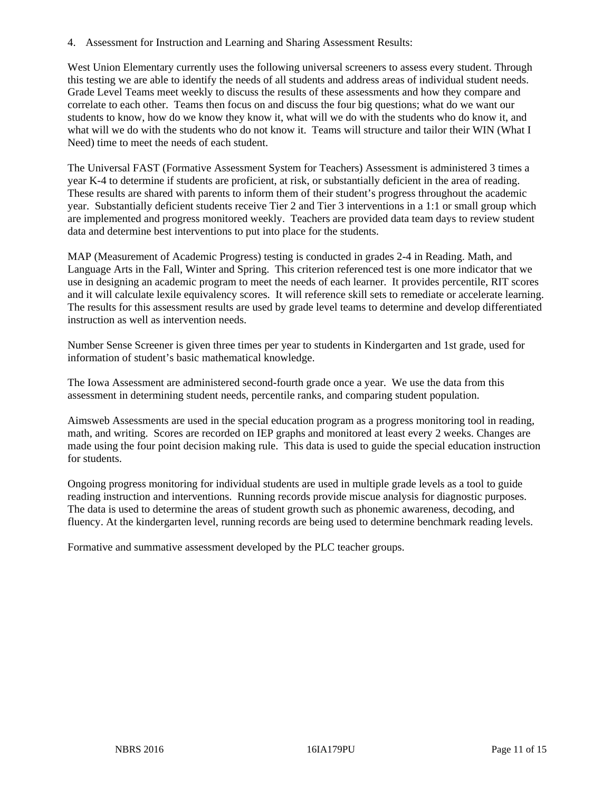4. Assessment for Instruction and Learning and Sharing Assessment Results:

West Union Elementary currently uses the following universal screeners to assess every student. Through this testing we are able to identify the needs of all students and address areas of individual student needs. Grade Level Teams meet weekly to discuss the results of these assessments and how they compare and correlate to each other. Teams then focus on and discuss the four big questions; what do we want our students to know, how do we know they know it, what will we do with the students who do know it, and what will we do with the students who do not know it. Teams will structure and tailor their WIN (What I Need) time to meet the needs of each student.

The Universal FAST (Formative Assessment System for Teachers) Assessment is administered 3 times a year K-4 to determine if students are proficient, at risk, or substantially deficient in the area of reading. These results are shared with parents to inform them of their student's progress throughout the academic year. Substantially deficient students receive Tier 2 and Tier 3 interventions in a 1:1 or small group which are implemented and progress monitored weekly. Teachers are provided data team days to review student data and determine best interventions to put into place for the students.

MAP (Measurement of Academic Progress) testing is conducted in grades 2-4 in Reading. Math, and Language Arts in the Fall, Winter and Spring. This criterion referenced test is one more indicator that we use in designing an academic program to meet the needs of each learner. It provides percentile, RIT scores and it will calculate lexile equivalency scores. It will reference skill sets to remediate or accelerate learning. The results for this assessment results are used by grade level teams to determine and develop differentiated instruction as well as intervention needs.

Number Sense Screener is given three times per year to students in Kindergarten and 1st grade, used for information of student's basic mathematical knowledge.

The Iowa Assessment are administered second-fourth grade once a year. We use the data from this assessment in determining student needs, percentile ranks, and comparing student population.

Aimsweb Assessments are used in the special education program as a progress monitoring tool in reading, math, and writing. Scores are recorded on IEP graphs and monitored at least every 2 weeks. Changes are made using the four point decision making rule. This data is used to guide the special education instruction for students.

Ongoing progress monitoring for individual students are used in multiple grade levels as a tool to guide reading instruction and interventions. Running records provide miscue analysis for diagnostic purposes. The data is used to determine the areas of student growth such as phonemic awareness, decoding, and fluency. At the kindergarten level, running records are being used to determine benchmark reading levels.

Formative and summative assessment developed by the PLC teacher groups.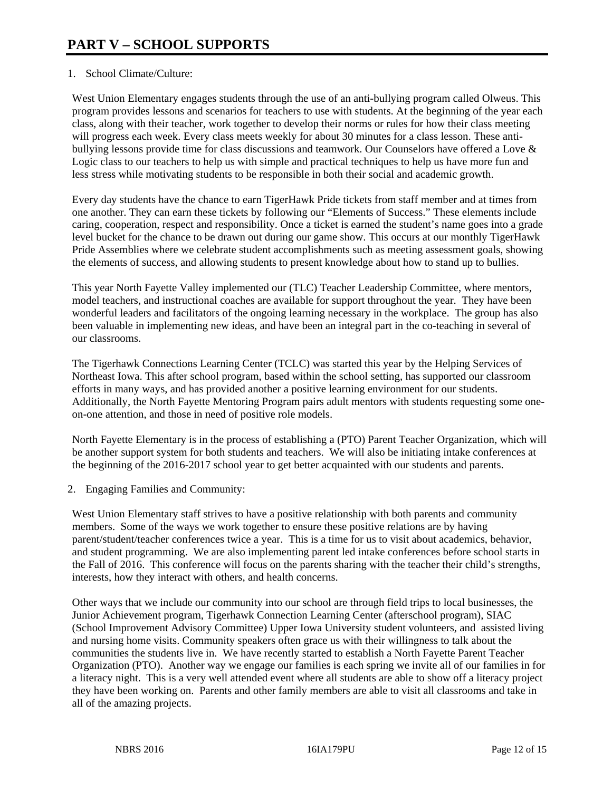#### 1. School Climate/Culture:

West Union Elementary engages students through the use of an anti-bullying program called Olweus. This program provides lessons and scenarios for teachers to use with students. At the beginning of the year each class, along with their teacher, work together to develop their norms or rules for how their class meeting will progress each week. Every class meets weekly for about 30 minutes for a class lesson. These antibullying lessons provide time for class discussions and teamwork. Our Counselors have offered a Love & Logic class to our teachers to help us with simple and practical techniques to help us have more fun and less stress while motivating students to be responsible in both their social and academic growth.

Every day students have the chance to earn TigerHawk Pride tickets from staff member and at times from one another. They can earn these tickets by following our "Elements of Success." These elements include caring, cooperation, respect and responsibility. Once a ticket is earned the student's name goes into a grade level bucket for the chance to be drawn out during our game show. This occurs at our monthly TigerHawk Pride Assemblies where we celebrate student accomplishments such as meeting assessment goals, showing the elements of success, and allowing students to present knowledge about how to stand up to bullies.

This year North Fayette Valley implemented our (TLC) Teacher Leadership Committee, where mentors, model teachers, and instructional coaches are available for support throughout the year. They have been wonderful leaders and facilitators of the ongoing learning necessary in the workplace. The group has also been valuable in implementing new ideas, and have been an integral part in the co-teaching in several of our classrooms.

The Tigerhawk Connections Learning Center (TCLC) was started this year by the Helping Services of Northeast Iowa. This after school program, based within the school setting, has supported our classroom efforts in many ways, and has provided another a positive learning environment for our students. Additionally, the North Fayette Mentoring Program pairs adult mentors with students requesting some oneon-one attention, and those in need of positive role models.

North Fayette Elementary is in the process of establishing a (PTO) Parent Teacher Organization, which will be another support system for both students and teachers. We will also be initiating intake conferences at the beginning of the 2016-2017 school year to get better acquainted with our students and parents.

2. Engaging Families and Community:

West Union Elementary staff strives to have a positive relationship with both parents and community members. Some of the ways we work together to ensure these positive relations are by having parent/student/teacher conferences twice a year. This is a time for us to visit about academics, behavior, and student programming. We are also implementing parent led intake conferences before school starts in the Fall of 2016. This conference will focus on the parents sharing with the teacher their child's strengths, interests, how they interact with others, and health concerns.

Other ways that we include our community into our school are through field trips to local businesses, the Junior Achievement program, Tigerhawk Connection Learning Center (afterschool program), SIAC (School Improvement Advisory Committee) Upper Iowa University student volunteers, and assisted living and nursing home visits. Community speakers often grace us with their willingness to talk about the communities the students live in. We have recently started to establish a North Fayette Parent Teacher Organization (PTO). Another way we engage our families is each spring we invite all of our families in for a literacy night. This is a very well attended event where all students are able to show off a literacy project they have been working on. Parents and other family members are able to visit all classrooms and take in all of the amazing projects.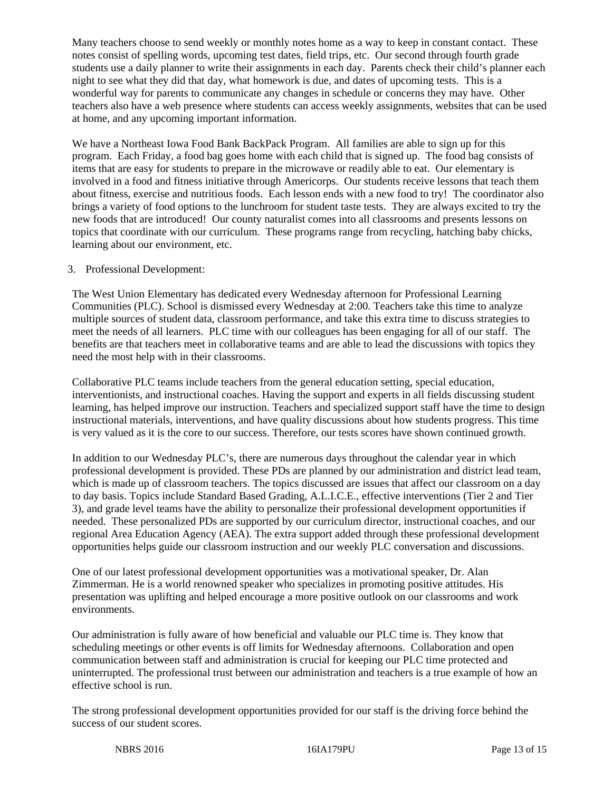Many teachers choose to send weekly or monthly notes home as a way to keep in constant contact. These notes consist of spelling words, upcoming test dates, field trips, etc. Our second through fourth grade students use a daily planner to write their assignments in each day. Parents check their child's planner each night to see what they did that day, what homework is due, and dates of upcoming tests. This is a wonderful way for parents to communicate any changes in schedule or concerns they may have. Other teachers also have a web presence where students can access weekly assignments, websites that can be used at home, and any upcoming important information.

We have a Northeast Iowa Food Bank BackPack Program. All families are able to sign up for this program. Each Friday, a food bag goes home with each child that is signed up. The food bag consists of items that are easy for students to prepare in the microwave or readily able to eat. Our elementary is involved in a food and fitness initiative through Americorps. Our students receive lessons that teach them about fitness, exercise and nutritious foods. Each lesson ends with a new food to try! The coordinator also brings a variety of food options to the lunchroom for student taste tests. They are always excited to try the new foods that are introduced! Our county naturalist comes into all classrooms and presents lessons on topics that coordinate with our curriculum. These programs range from recycling, hatching baby chicks, learning about our environment, etc.

#### 3. Professional Development:

The West Union Elementary has dedicated every Wednesday afternoon for Professional Learning Communities (PLC). School is dismissed every Wednesday at 2:00. Teachers take this time to analyze multiple sources of student data, classroom performance, and take this extra time to discuss strategies to meet the needs of all learners. PLC time with our colleagues has been engaging for all of our staff. The benefits are that teachers meet in collaborative teams and are able to lead the discussions with topics they need the most help with in their classrooms.

Collaborative PLC teams include teachers from the general education setting, special education, interventionists, and instructional coaches. Having the support and experts in all fields discussing student learning, has helped improve our instruction. Teachers and specialized support staff have the time to design instructional materials, interventions, and have quality discussions about how students progress. This time is very valued as it is the core to our success. Therefore, our tests scores have shown continued growth.

In addition to our Wednesday PLC's, there are numerous days throughout the calendar year in which professional development is provided. These PDs are planned by our administration and district lead team, which is made up of classroom teachers. The topics discussed are issues that affect our classroom on a day to day basis. Topics include Standard Based Grading, A.L.I.C.E., effective interventions (Tier 2 and Tier 3), and grade level teams have the ability to personalize their professional development opportunities if needed. These personalized PDs are supported by our curriculum director, instructional coaches, and our regional Area Education Agency (AEA). The extra support added through these professional development opportunities helps guide our classroom instruction and our weekly PLC conversation and discussions.

One of our latest professional development opportunities was a motivational speaker, Dr. Alan Zimmerman. He is a world renowned speaker who specializes in promoting positive attitudes. His presentation was uplifting and helped encourage a more positive outlook on our classrooms and work environments.

Our administration is fully aware of how beneficial and valuable our PLC time is. They know that scheduling meetings or other events is off limits for Wednesday afternoons. Collaboration and open communication between staff and administration is crucial for keeping our PLC time protected and uninterrupted. The professional trust between our administration and teachers is a true example of how an effective school is run.

The strong professional development opportunities provided for our staff is the driving force behind the success of our student scores.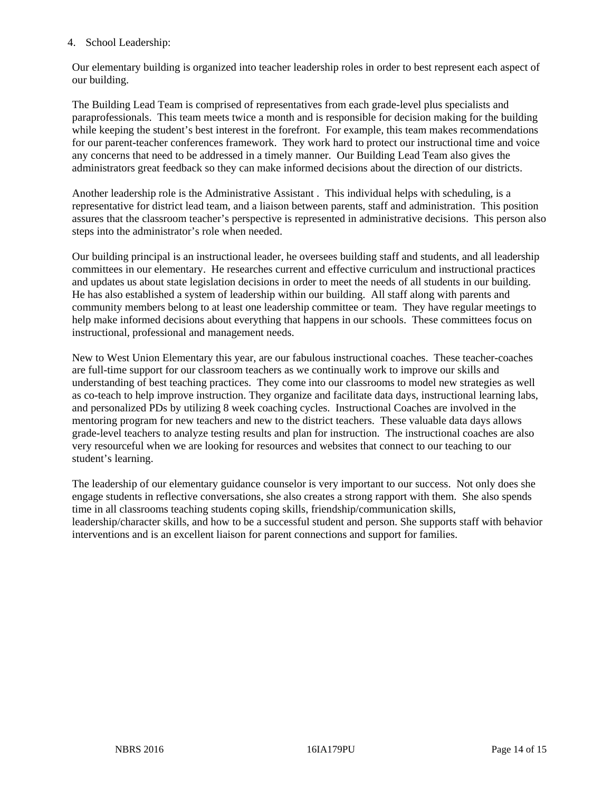#### 4. School Leadership:

Our elementary building is organized into teacher leadership roles in order to best represent each aspect of our building.

The Building Lead Team is comprised of representatives from each grade-level plus specialists and paraprofessionals. This team meets twice a month and is responsible for decision making for the building while keeping the student's best interest in the forefront. For example, this team makes recommendations for our parent-teacher conferences framework. They work hard to protect our instructional time and voice any concerns that need to be addressed in a timely manner. Our Building Lead Team also gives the administrators great feedback so they can make informed decisions about the direction of our districts.

Another leadership role is the Administrative Assistant . This individual helps with scheduling, is a representative for district lead team, and a liaison between parents, staff and administration. This position assures that the classroom teacher's perspective is represented in administrative decisions. This person also steps into the administrator's role when needed.

Our building principal is an instructional leader, he oversees building staff and students, and all leadership committees in our elementary. He researches current and effective curriculum and instructional practices and updates us about state legislation decisions in order to meet the needs of all students in our building. He has also established a system of leadership within our building. All staff along with parents and community members belong to at least one leadership committee or team. They have regular meetings to help make informed decisions about everything that happens in our schools. These committees focus on instructional, professional and management needs.

New to West Union Elementary this year, are our fabulous instructional coaches. These teacher-coaches are full-time support for our classroom teachers as we continually work to improve our skills and understanding of best teaching practices. They come into our classrooms to model new strategies as well as co-teach to help improve instruction. They organize and facilitate data days, instructional learning labs, and personalized PDs by utilizing 8 week coaching cycles. Instructional Coaches are involved in the mentoring program for new teachers and new to the district teachers. These valuable data days allows grade-level teachers to analyze testing results and plan for instruction. The instructional coaches are also very resourceful when we are looking for resources and websites that connect to our teaching to our student's learning.

The leadership of our elementary guidance counselor is very important to our success. Not only does she engage students in reflective conversations, she also creates a strong rapport with them. She also spends time in all classrooms teaching students coping skills, friendship/communication skills, leadership/character skills, and how to be a successful student and person. She supports staff with behavior interventions and is an excellent liaison for parent connections and support for families.